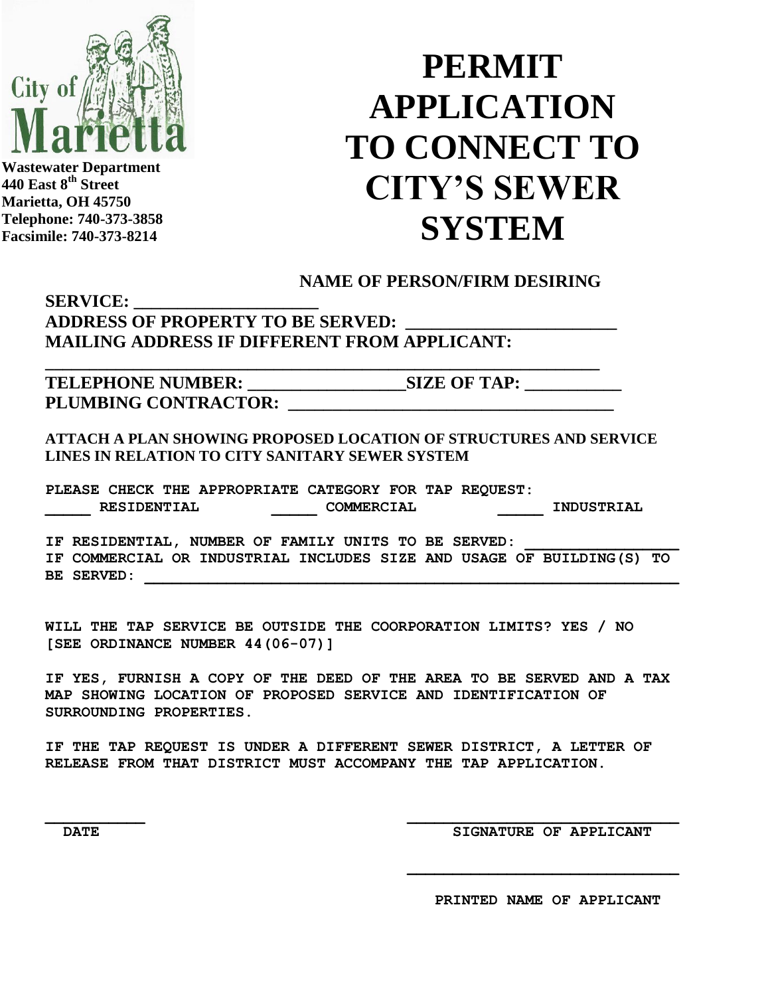

**Wastewater Department 440 East 8th Street Marietta, OH 45750 Telephone: 740-373-3858 Facsimile: 740-373-8214**

## **PERMIT APPLICATION TO CONNECT TO CITY'S SEWER SYSTEM**

## **NAME OF PERSON/FIRM DESIRING**

## **SERVICE: \_\_\_\_\_\_\_\_\_\_\_\_\_\_\_\_\_\_\_\_\_ ADDRESS OF PROPERTY TO BE SERVED: \_\_\_\_\_\_\_\_\_\_\_\_\_\_\_\_\_\_\_\_\_\_\_\_ MAILING ADDRESS IF DIFFERENT FROM APPLICANT:**

**TELEPHONE NUMBER: \_\_\_\_\_\_\_\_\_\_\_\_\_\_\_\_\_\_SIZE OF TAP: \_\_\_\_\_\_\_\_\_\_\_** PLUMBING CONTRACTOR:

**ATTACH A PLAN SHOWING PROPOSED LOCATION OF STRUCTURES AND SERVICE LINES IN RELATION TO CITY SANITARY SEWER SYSTEM**

**PLEASE CHECK THE APPROPRIATE CATEGORY FOR TAP REQUEST: \_\_\_\_\_ RESIDENTIAL \_\_\_\_\_ COMMERCIAL \_\_\_\_\_ INDUSTRIAL**

**\_\_\_\_\_\_\_\_\_\_\_\_\_\_\_\_\_\_\_\_\_\_\_\_\_\_\_\_\_\_\_\_\_\_\_\_\_\_\_\_\_\_\_\_\_\_\_\_\_\_\_\_\_\_\_\_\_\_\_\_\_\_\_**

IF RESIDENTIAL, NUMBER OF FAMILY UNITS TO BE SERVED: **IF COMMERCIAL OR INDUSTRIAL INCLUDES SIZE AND USAGE OF BUILDING(S) TO BE SERVED:** 

**WILL THE TAP SERVICE BE OUTSIDE THE COORPORATION LIMITS? YES / NO [SEE ORDINANCE NUMBER 44(06-07)]**

**IF YES, FURNISH A COPY OF THE DEED OF THE AREA TO BE SERVED AND A TAX MAP SHOWING LOCATION OF PROPOSED SERVICE AND IDENTIFICATION OF SURROUNDING PROPERTIES.**

**IF THE TAP REQUEST IS UNDER A DIFFERENT SEWER DISTRICT, A LETTER OF RELEASE FROM THAT DISTRICT MUST ACCOMPANY THE TAP APPLICATION.**

**DATE** DATE SIGNATURE OF APPLICANT

 **PRINTED NAME OF APPLICANT**